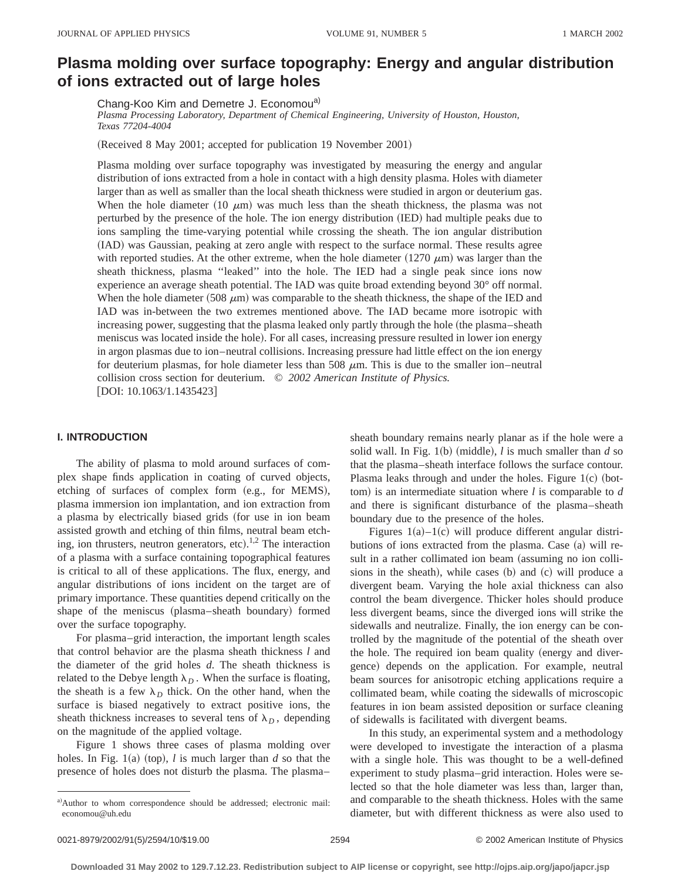# **Plasma molding over surface topography: Energy and angular distribution of ions extracted out of large holes**

Chang-Koo Kim and Demetre J. Economou<sup>a)</sup>

*Plasma Processing Laboratory, Department of Chemical Engineering, University of Houston, Houston, Texas 77204-4004*

(Received 8 May 2001; accepted for publication 19 November 2001)

Plasma molding over surface topography was investigated by measuring the energy and angular distribution of ions extracted from a hole in contact with a high density plasma. Holes with diameter larger than as well as smaller than the local sheath thickness were studied in argon or deuterium gas. When the hole diameter (10  $\mu$ m) was much less than the sheath thickness, the plasma was not perturbed by the presence of the hole. The ion energy distribution (IED) had multiple peaks due to ions sampling the time-varying potential while crossing the sheath. The ion angular distribution (IAD) was Gaussian, peaking at zero angle with respect to the surface normal. These results agree with reported studies. At the other extreme, when the hole diameter  $(1270 \mu m)$  was larger than the sheath thickness, plasma ''leaked'' into the hole. The IED had a single peak since ions now experience an average sheath potential. The IAD was quite broad extending beyond 30° off normal. When the hole diameter  $(508 \mu m)$  was comparable to the sheath thickness, the shape of the IED and IAD was in-between the two extremes mentioned above. The IAD became more isotropic with increasing power, suggesting that the plasma leaked only partly through the hole (the plasma–sheath meniscus was located inside the hole). For all cases, increasing pressure resulted in lower ion energy in argon plasmas due to ion–neutral collisions. Increasing pressure had little effect on the ion energy for deuterium plasmas, for hole diameter less than 508  $\mu$ m. This is due to the smaller ion–neutral collision cross section for deuterium. © *2002 American Institute of Physics.* [DOI: 10.1063/1.1435423]

## **I. INTRODUCTION**

The ability of plasma to mold around surfaces of complex shape finds application in coating of curved objects, etching of surfaces of complex form  $(e.g., for MEMS)$ , plasma immersion ion implantation, and ion extraction from a plasma by electrically biased grids (for use in ion beam assisted growth and etching of thin films, neutral beam etching, ion thrusters, neutron generators, etc).<sup>1,2</sup> The interaction of a plasma with a surface containing topographical features is critical to all of these applications. The flux, energy, and angular distributions of ions incident on the target are of primary importance. These quantities depend critically on the shape of the meniscus (plasma–sheath boundary) formed over the surface topography.

For plasma–grid interaction, the important length scales that control behavior are the plasma sheath thickness *l* and the diameter of the grid holes *d*. The sheath thickness is related to the Debye length  $\lambda_D$ . When the surface is floating, the sheath is a few  $\lambda_D$  thick. On the other hand, when the surface is biased negatively to extract positive ions, the sheath thickness increases to several tens of  $\lambda_D$ , depending on the magnitude of the applied voltage.

Figure 1 shows three cases of plasma molding over holes. In Fig. 1(a) (top),  $l$  is much larger than  $d$  so that the presence of holes does not disturb the plasma. The plasma–

sheath boundary remains nearly planar as if the hole were a solid wall. In Fig.  $1(b)$  (middle), *l* is much smaller than *d* so that the plasma–sheath interface follows the surface contour. Plasma leaks through and under the holes. Figure  $1(c)$  (bottom) is an intermediate situation where  $l$  is comparable to  $d$ and there is significant disturbance of the plasma–sheath boundary due to the presence of the holes.

Figures  $1(a)-1(c)$  will produce different angular distributions of ions extracted from the plasma. Case  $(a)$  will result in a rather collimated ion beam (assuming no ion collisions in the sheath), while cases  $(b)$  and  $(c)$  will produce a divergent beam. Varying the hole axial thickness can also control the beam divergence. Thicker holes should produce less divergent beams, since the diverged ions will strike the sidewalls and neutralize. Finally, the ion energy can be controlled by the magnitude of the potential of the sheath over the hole. The required ion beam quality (energy and divergence) depends on the application. For example, neutral beam sources for anisotropic etching applications require a collimated beam, while coating the sidewalls of microscopic features in ion beam assisted deposition or surface cleaning of sidewalls is facilitated with divergent beams.

In this study, an experimental system and a methodology were developed to investigate the interaction of a plasma with a single hole. This was thought to be a well-defined experiment to study plasma–grid interaction. Holes were selected so that the hole diameter was less than, larger than, and comparable to the sheath thickness. Holes with the same diameter, but with different thickness as were also used to

a)Author to whom correspondence should be addressed; electronic mail: economou@uh.edu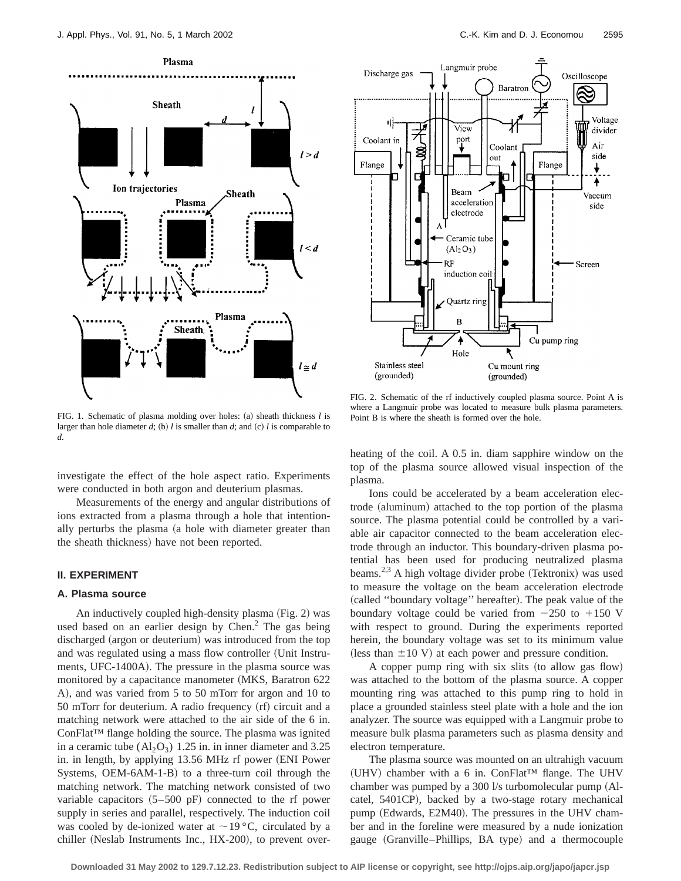

FIG. 1. Schematic of plasma molding over holes: (a) sheath thickness *l* is larger than hole diameter  $d$ ; (b)  $l$  is smaller than  $d$ ; and (c)  $l$  is comparable to *d*.

investigate the effect of the hole aspect ratio. Experiments were conducted in both argon and deuterium plasmas.

Measurements of the energy and angular distributions of ions extracted from a plasma through a hole that intentionally perturbs the plasma (a hole with diameter greater than the sheath thickness) have not been reported.

## **II. EXPERIMENT**

## **A. Plasma source**

An inductively coupled high-density plasma  $(Fig. 2)$  was used based on an earlier design by Chen.<sup>2</sup> The gas being discharged (argon or deuterium) was introduced from the top and was regulated using a mass flow controller (Unit Instruments, UFC-1400A). The pressure in the plasma source was monitored by a capacitance manometer (MKS, Baratron 622) A), and was varied from 5 to 50 mTorr for argon and 10 to  $50$  mTorr for deuterium. A radio frequency  $(rf)$  circuit and a matching network were attached to the air side of the 6 in. ConFlat™ flange holding the source. The plasma was ignited in a ceramic tube  $(Al_2O_3)$  1.25 in. in inner diameter and 3.25 in. in length, by applying 13.56 MHz rf power (ENI Power) Systems, OEM-6AM-1-B) to a three-turn coil through the matching network. The matching network consisted of two variable capacitors  $(5–500 \text{ pF})$  connected to the rf power supply in series and parallel, respectively. The induction coil was cooled by de-ionized water at  $\sim$  19 °C, circulated by a chiller (Neslab Instruments Inc.,  $HX-200$ ), to prevent over-



FIG. 2. Schematic of the rf inductively coupled plasma source. Point A is where a Langmuir probe was located to measure bulk plasma parameters. Point B is where the sheath is formed over the hole.

heating of the coil. A 0.5 in. diam sapphire window on the top of the plasma source allowed visual inspection of the plasma.

Ions could be accelerated by a beam acceleration electrode (aluminum) attached to the top portion of the plasma source. The plasma potential could be controlled by a variable air capacitor connected to the beam acceleration electrode through an inductor. This boundary-driven plasma potential has been used for producing neutralized plasma beams.<sup>2,3</sup> A high voltage divider probe (Tektronix) was used to measure the voltage on the beam acceleration electrode (called "boundary voltage" hereafter). The peak value of the boundary voltage could be varied from  $-250$  to  $+150$  V with respect to ground. During the experiments reported herein, the boundary voltage was set to its minimum value (less than  $\pm 10$  V) at each power and pressure condition.

A copper pump ring with six slits (to allow gas flow) was attached to the bottom of the plasma source. A copper mounting ring was attached to this pump ring to hold in place a grounded stainless steel plate with a hole and the ion analyzer. The source was equipped with a Langmuir probe to measure bulk plasma parameters such as plasma density and electron temperature.

The plasma source was mounted on an ultrahigh vacuum (UHV) chamber with a 6 in. ConFlat<sup>™</sup> flange. The UHV chamber was pumped by a  $300 \frac{1}{s}$  turbomolecular pump (Alcatel, 5401CP), backed by a two-stage rotary mechanical pump (Edwards, E2M40). The pressures in the UHV chamber and in the foreline were measured by a nude ionization gauge (Granville–Phillips, BA type) and a thermocouple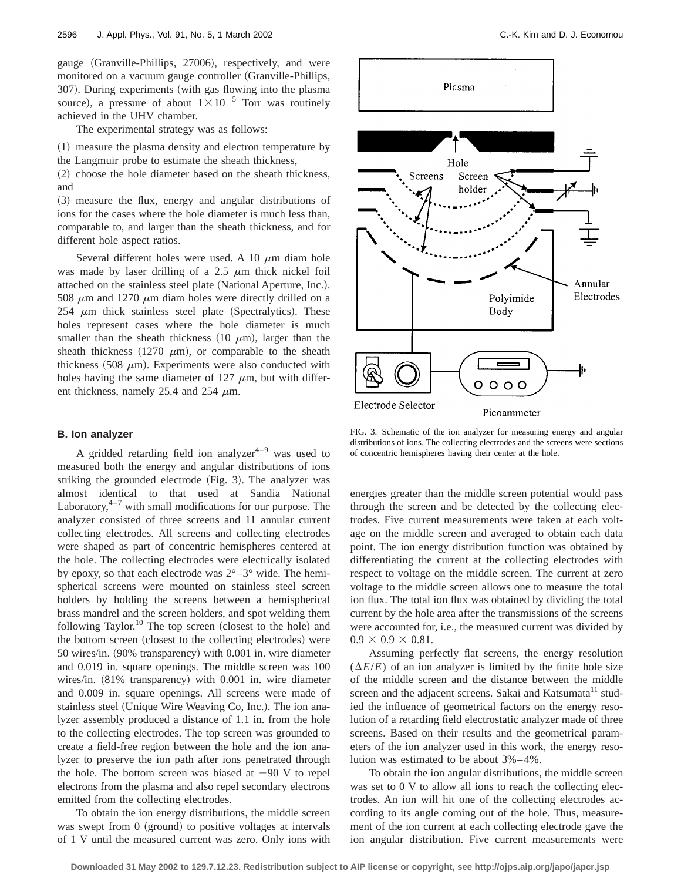gauge (Granville-Phillips, 27006), respectively, and were monitored on a vacuum gauge controller (Granville-Phillips, 307). During experiments (with gas flowing into the plasma source), a pressure of about  $1 \times 10^{-5}$  Torr was routinely achieved in the UHV chamber.

The experimental strategy was as follows:

~1! measure the plasma density and electron temperature by the Langmuir probe to estimate the sheath thickness,

(2) choose the hole diameter based on the sheath thickness, and

~3! measure the flux, energy and angular distributions of ions for the cases where the hole diameter is much less than, comparable to, and larger than the sheath thickness, and for different hole aspect ratios.

Several different holes were used. A 10  $\mu$ m diam hole was made by laser drilling of a 2.5  $\mu$ m thick nickel foil attached on the stainless steel plate (National Aperture, Inc.). 508  $\mu$ m and 1270  $\mu$ m diam holes were directly drilled on a  $254 \mu m$  thick stainless steel plate (Spectralytics). These holes represent cases where the hole diameter is much smaller than the sheath thickness (10  $\mu$ m), larger than the sheath thickness (1270  $\mu$ m), or comparable to the sheath thickness  $(508 \mu m)$ . Experiments were also conducted with holes having the same diameter of 127  $\mu$ m, but with different thickness, namely 25.4 and 254  $\mu$ m.

## **B. Ion analyzer**

A gridded retarding field ion analyzer $4-9$  was used to measured both the energy and angular distributions of ions striking the grounded electrode (Fig. 3). The analyzer was almost identical to that used at Sandia National Laboratory, $4-7$  with small modifications for our purpose. The analyzer consisted of three screens and 11 annular current collecting electrodes. All screens and collecting electrodes were shaped as part of concentric hemispheres centered at the hole. The collecting electrodes were electrically isolated by epoxy, so that each electrode was  $2^{\circ}-3^{\circ}$  wide. The hemispherical screens were mounted on stainless steel screen holders by holding the screens between a hemispherical brass mandrel and the screen holders, and spot welding them following Taylor.<sup>10</sup> The top screen (closest to the hole) and the bottom screen (closest to the collecting electrodes) were  $50$  wires/in.  $(90\%$  transparency) with  $0.001$  in. wire diameter and 0.019 in. square openings. The middle screen was 100 wires/in.  $(81\%$  transparency) with 0.001 in. wire diameter and 0.009 in. square openings. All screens were made of stainless steel (Unique Wire Weaving Co, Inc.). The ion analyzer assembly produced a distance of 1.1 in. from the hole to the collecting electrodes. The top screen was grounded to create a field-free region between the hole and the ion analyzer to preserve the ion path after ions penetrated through the hole. The bottom screen was biased at  $-90$  V to repel electrons from the plasma and also repel secondary electrons emitted from the collecting electrodes.

To obtain the ion energy distributions, the middle screen was swept from  $0$  (ground) to positive voltages at intervals of 1 V until the measured current was zero. Only ions with



FIG. 3. Schematic of the ion analyzer for measuring energy and angular distributions of ions. The collecting electrodes and the screens were sections of concentric hemispheres having their center at the hole.

energies greater than the middle screen potential would pass through the screen and be detected by the collecting electrodes. Five current measurements were taken at each voltage on the middle screen and averaged to obtain each data point. The ion energy distribution function was obtained by differentiating the current at the collecting electrodes with respect to voltage on the middle screen. The current at zero voltage to the middle screen allows one to measure the total ion flux. The total ion flux was obtained by dividing the total current by the hole area after the transmissions of the screens were accounted for, i.e., the measured current was divided by  $0.9 \times 0.9 \times 0.81$ .

Assuming perfectly flat screens, the energy resolution  $(\Delta E/E)$  of an ion analyzer is limited by the finite hole size of the middle screen and the distance between the middle screen and the adjacent screens. Sakai and Katsumata<sup>11</sup> studied the influence of geometrical factors on the energy resolution of a retarding field electrostatic analyzer made of three screens. Based on their results and the geometrical parameters of the ion analyzer used in this work, the energy resolution was estimated to be about 3%–4%.

To obtain the ion angular distributions, the middle screen was set to 0 V to allow all ions to reach the collecting electrodes. An ion will hit one of the collecting electrodes according to its angle coming out of the hole. Thus, measurement of the ion current at each collecting electrode gave the ion angular distribution. Five current measurements were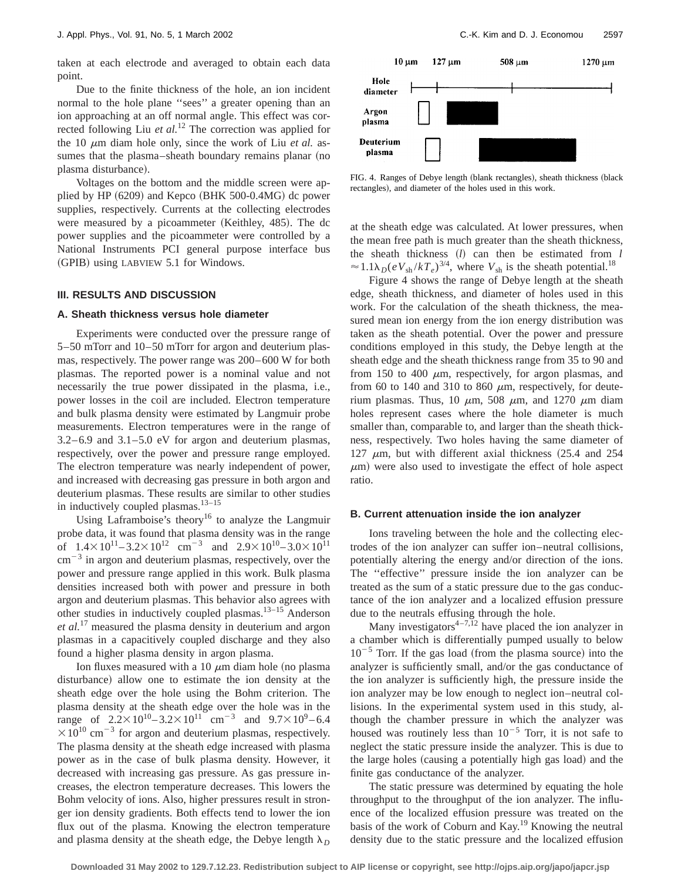taken at each electrode and averaged to obtain each data point.

Due to the finite thickness of the hole, an ion incident normal to the hole plane ''sees'' a greater opening than an ion approaching at an off normal angle. This effect was corrected following Liu *et al.*<sup>12</sup> The correction was applied for the 10  $\mu$ m diam hole only, since the work of Liu *et al.* assumes that the plasma–sheath boundary remains planar (no plasma disturbance).

Voltages on the bottom and the middle screen were applied by HP  $(6209)$  and Kepco  $(BHK 500-0.4MG)$  dc power supplies, respectively. Currents at the collecting electrodes were measured by a picoammeter (Keithley,  $485$ ). The dc power supplies and the picoammeter were controlled by a National Instruments PCI general purpose interface bus (GPIB) using LABVIEW 5.1 for Windows.

## **III. RESULTS AND DISCUSSION**

#### **A. Sheath thickness versus hole diameter**

Experiments were conducted over the pressure range of 5–50 mTorr and 10–50 mTorr for argon and deuterium plasmas, respectively. The power range was 200–600 W for both plasmas. The reported power is a nominal value and not necessarily the true power dissipated in the plasma, i.e., power losses in the coil are included. Electron temperature and bulk plasma density were estimated by Langmuir probe measurements. Electron temperatures were in the range of 3.2–6.9 and 3.1–5.0 eV for argon and deuterium plasmas, respectively, over the power and pressure range employed. The electron temperature was nearly independent of power, and increased with decreasing gas pressure in both argon and deuterium plasmas. These results are similar to other studies in inductively coupled plasmas. $13-15$ 

Using Laframboise's theory<sup>16</sup> to analyze the Langmuir probe data, it was found that plasma density was in the range of  $1.4 \times 10^{11} - 3.2 \times 10^{12}$  cm<sup>-3</sup> and  $2.9 \times 10^{10} - 3.0 \times 10^{11}$  $\text{cm}^{-3}$  in argon and deuterium plasmas, respectively, over the power and pressure range applied in this work. Bulk plasma densities increased both with power and pressure in both argon and deuterium plasmas. This behavior also agrees with other studies in inductively coupled plasmas.13–15 Anderson *et al.*<sup>17</sup> measured the plasma density in deuterium and argon plasmas in a capacitively coupled discharge and they also found a higher plasma density in argon plasma.

Ion fluxes measured with a 10  $\mu$ m diam hole (no plasma disturbance) allow one to estimate the ion density at the sheath edge over the hole using the Bohm criterion. The plasma density at the sheath edge over the hole was in the range of  $2.2 \times 10^{10} - 3.2 \times 10^{11}$  cm<sup>-3</sup> and  $9.7 \times 10^{9} - 6.4$  $\times 10^{10}$  cm<sup>-3</sup> for argon and deuterium plasmas, respectively. The plasma density at the sheath edge increased with plasma power as in the case of bulk plasma density. However, it decreased with increasing gas pressure. As gas pressure increases, the electron temperature decreases. This lowers the Bohm velocity of ions. Also, higher pressures result in stronger ion density gradients. Both effects tend to lower the ion flux out of the plasma. Knowing the electron temperature and plasma density at the sheath edge, the Debye length  $\lambda_D$ 



FIG. 4. Ranges of Debye length (blank rectangles), sheath thickness (black rectangles), and diameter of the holes used in this work.

at the sheath edge was calculated. At lower pressures, when the mean free path is much greater than the sheath thickness, the sheath thickness  $(l)$  can then be estimated from  $l$  $\approx 1.1\lambda_D(eV_{sh}/kT_e)^{3/4}$ , where  $V_{sh}$  is the sheath potential.<sup>18</sup>

Figure 4 shows the range of Debye length at the sheath edge, sheath thickness, and diameter of holes used in this work. For the calculation of the sheath thickness, the measured mean ion energy from the ion energy distribution was taken as the sheath potential. Over the power and pressure conditions employed in this study, the Debye length at the sheath edge and the sheath thickness range from 35 to 90 and from 150 to 400  $\mu$ m, respectively, for argon plasmas, and from 60 to 140 and 310 to 860  $\mu$ m, respectively, for deuterium plasmas. Thus, 10  $\mu$ m, 508  $\mu$ m, and 1270  $\mu$ m diam holes represent cases where the hole diameter is much smaller than, comparable to, and larger than the sheath thickness, respectively. Two holes having the same diameter of 127  $\mu$ m, but with different axial thickness (25.4 and 254)  $\mu$ m) were also used to investigate the effect of hole aspect ratio.

#### **B. Current attenuation inside the ion analyzer**

Ions traveling between the hole and the collecting electrodes of the ion analyzer can suffer ion–neutral collisions, potentially altering the energy and/or direction of the ions. The ''effective'' pressure inside the ion analyzer can be treated as the sum of a static pressure due to the gas conductance of the ion analyzer and a localized effusion pressure due to the neutrals effusing through the hole.

Many investigators<sup>4-7,12</sup> have placed the ion analyzer in a chamber which is differentially pumped usually to below  $10^{-5}$  Torr. If the gas load (from the plasma source) into the analyzer is sufficiently small, and/or the gas conductance of the ion analyzer is sufficiently high, the pressure inside the ion analyzer may be low enough to neglect ion–neutral collisions. In the experimental system used in this study, although the chamber pressure in which the analyzer was housed was routinely less than  $10^{-5}$  Torr, it is not safe to neglect the static pressure inside the analyzer. This is due to the large holes (causing a potentially high gas load) and the finite gas conductance of the analyzer.

The static pressure was determined by equating the hole throughput to the throughput of the ion analyzer. The influence of the localized effusion pressure was treated on the basis of the work of Coburn and Kay.19 Knowing the neutral density due to the static pressure and the localized effusion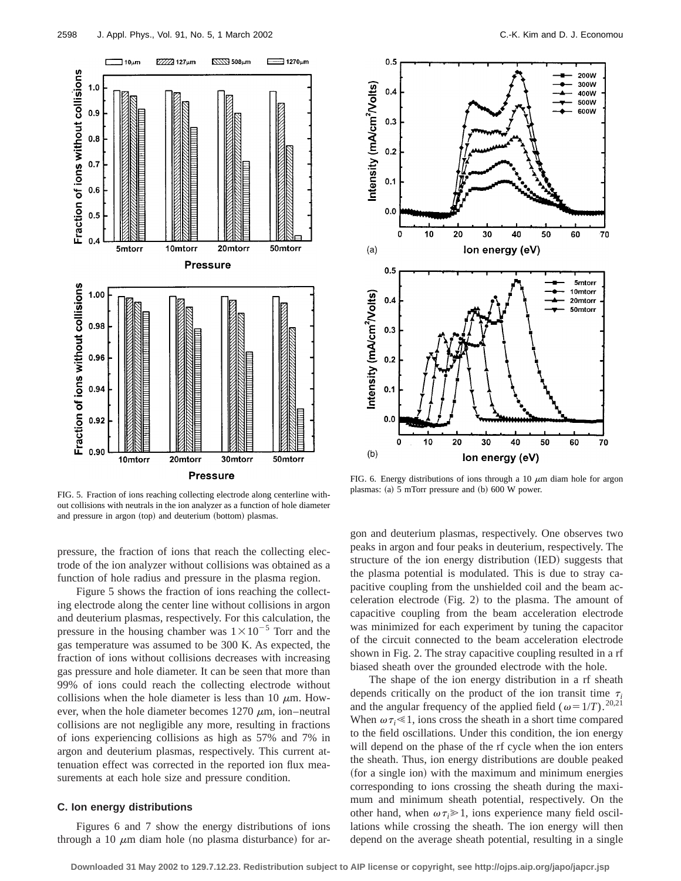

FIG. 5. Fraction of ions reaching collecting electrode along centerline without collisions with neutrals in the ion analyzer as a function of hole diameter and pressure in argon (top) and deuterium (bottom) plasmas.

pressure, the fraction of ions that reach the collecting electrode of the ion analyzer without collisions was obtained as a function of hole radius and pressure in the plasma region.

Figure 5 shows the fraction of ions reaching the collecting electrode along the center line without collisions in argon and deuterium plasmas, respectively. For this calculation, the pressure in the housing chamber was  $1\times10^{-5}$  Torr and the gas temperature was assumed to be 300 K. As expected, the fraction of ions without collisions decreases with increasing gas pressure and hole diameter. It can be seen that more than 99% of ions could reach the collecting electrode without collisions when the hole diameter is less than 10  $\mu$ m. However, when the hole diameter becomes  $1270 \mu m$ , ion–neutral collisions are not negligible any more, resulting in fractions of ions experiencing collisions as high as 57% and 7% in argon and deuterium plasmas, respectively. This current attenuation effect was corrected in the reported ion flux measurements at each hole size and pressure condition.

# **C. Ion energy distributions**

Figures 6 and 7 show the energy distributions of ions through a 10  $\mu$ m diam hole (no plasma disturbance) for ar-



FIG. 6. Energy distributions of ions through a 10  $\mu$ m diam hole for argon plasmas:  $(a)$  5 mTorr pressure and  $(b)$  600 W power.

gon and deuterium plasmas, respectively. One observes two peaks in argon and four peaks in deuterium, respectively. The structure of the ion energy distribution (IED) suggests that the plasma potential is modulated. This is due to stray capacitive coupling from the unshielded coil and the beam acceleration electrode  $(Fig. 2)$  to the plasma. The amount of capacitive coupling from the beam acceleration electrode was minimized for each experiment by tuning the capacitor of the circuit connected to the beam acceleration electrode shown in Fig. 2. The stray capacitive coupling resulted in a rf biased sheath over the grounded electrode with the hole.

The shape of the ion energy distribution in a rf sheath depends critically on the product of the ion transit time  $\tau_i$ and the angular frequency of the applied field ( $\omega=1/T$ ).<sup>20,21</sup> When  $\omega \tau_i \ll 1$ , ions cross the sheath in a short time compared to the field oscillations. Under this condition, the ion energy will depend on the phase of the rf cycle when the ion enters the sheath. Thus, ion energy distributions are double peaked (for a single ion) with the maximum and minimum energies corresponding to ions crossing the sheath during the maximum and minimum sheath potential, respectively. On the other hand, when  $\omega \tau_i \geq 1$ , ions experience many field oscillations while crossing the sheath. The ion energy will then depend on the average sheath potential, resulting in a single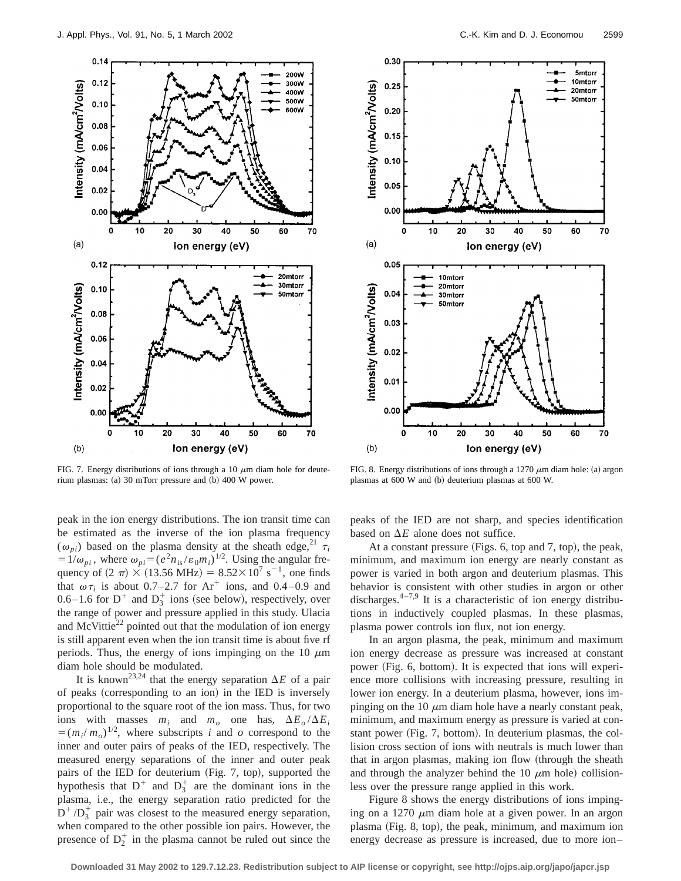

FIG. 7. Energy distributions of ions through a 10  $\mu$ m diam hole for deuterium plasmas: (a) 30 mTorr pressure and (b) 400 W power.

peak in the ion energy distributions. The ion transit time can be estimated as the inverse of the ion plasma frequency  $(\omega_{pi})$  based on the plasma density at the sheath edge,<sup>21</sup>  $\tau_i$  $=1/\omega_{pi}$ , where  $\omega_{pi}=(e^2n_{is}/\epsilon_0m_i)^{1/2}$ . Using the angular frequency of  $(2 \pi) \times (13.56 \text{ MHz}) = 8.52 \times 10^7 \text{ s}^{-1}$ , one finds that  $\omega \tau_i$  is about 0.7–2.7 for Ar<sup>+</sup> ions, and 0.4–0.9 and 0.6–1.6 for  $D^+$  and  $D_3^+$  ions (see below), respectively, over the range of power and pressure applied in this study. Ulacia and McVittie $^{22}$  pointed out that the modulation of ion energy is still apparent even when the ion transit time is about five rf periods. Thus, the energy of ions impinging on the 10  $\mu$ m diam hole should be modulated.

It is known<sup>23,24</sup> that the energy separation  $\Delta E$  of a pair of peaks (corresponding to an ion) in the IED is inversely proportional to the square root of the ion mass. Thus, for two ions with masses  $m_i$  and  $m_o$  one has,  $\Delta E_o / \Delta E_i$  $=(m_i/m_o)^{1/2}$ , where subscripts *i* and *o* correspond to the inner and outer pairs of peaks of the IED, respectively. The measured energy separations of the inner and outer peak pairs of the IED for deuterium (Fig. 7, top), supported the hypothesis that  $D^+$  and  $D_3^+$  are the dominant ions in the plasma, i.e., the energy separation ratio predicted for the  $D^+ / D_3^+$  pair was closest to the measured energy separation, when compared to the other possible ion pairs. However, the presence of  $D_2^+$  in the plasma cannot be ruled out since the



FIG. 8. Energy distributions of ions through a 1270  $\mu$ m diam hole: (a) argon plasmas at 600 W and (b) deuterium plasmas at 600 W.

peaks of the IED are not sharp, and species identification based on  $\Delta E$  alone does not suffice.

At a constant pressure (Figs. 6, top and 7, top), the peak, minimum, and maximum ion energy are nearly constant as power is varied in both argon and deuterium plasmas. This behavior is consistent with other studies in argon or other discharges. $4-7.9$  It is a characteristic of ion energy distributions in inductively coupled plasmas. In these plasmas, plasma power controls ion flux, not ion energy.

In an argon plasma, the peak, minimum and maximum ion energy decrease as pressure was increased at constant power (Fig. 6, bottom). It is expected that ions will experience more collisions with increasing pressure, resulting in lower ion energy. In a deuterium plasma, however, ions impinging on the 10  $\mu$ m diam hole have a nearly constant peak, minimum, and maximum energy as pressure is varied at constant power (Fig. 7, bottom). In deuterium plasmas, the collision cross section of ions with neutrals is much lower than that in argon plasmas, making ion flow (through the sheath and through the analyzer behind the 10  $\mu$ m hole) collisionless over the pressure range applied in this work.

Figure 8 shows the energy distributions of ions impinging on a 1270  $\mu$ m diam hole at a given power. In an argon plasma (Fig. 8, top), the peak, minimum, and maximum ion energy decrease as pressure is increased, due to more ion–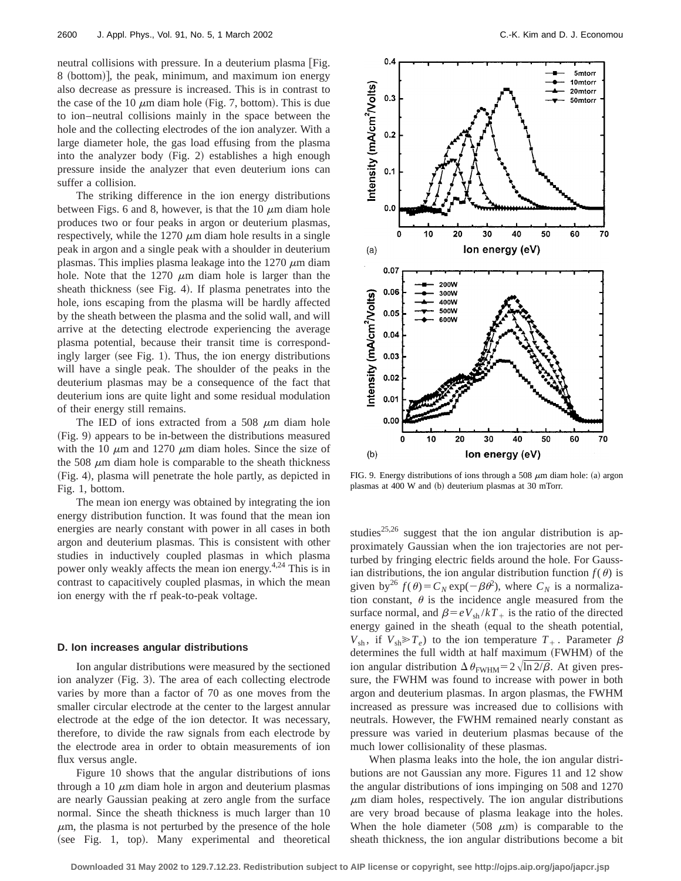neutral collisions with pressure. In a deuterium plasma Fig. 8 (bottom)], the peak, minimum, and maximum ion energy also decrease as pressure is increased. This is in contrast to the case of the 10  $\mu$ m diam hole (Fig. 7, bottom). This is due to ion–neutral collisions mainly in the space between the hole and the collecting electrodes of the ion analyzer. With a large diameter hole, the gas load effusing from the plasma into the analyzer body  $(Fig. 2)$  establishes a high enough pressure inside the analyzer that even deuterium ions can suffer a collision.

The striking difference in the ion energy distributions between Figs. 6 and 8, however, is that the 10  $\mu$ m diam hole produces two or four peaks in argon or deuterium plasmas, respectively, while the 1270  $\mu$ m diam hole results in a single peak in argon and a single peak with a shoulder in deuterium plasmas. This implies plasma leakage into the  $1270 \mu m$  diam hole. Note that the 1270  $\mu$ m diam hole is larger than the sheath thickness (see Fig. 4). If plasma penetrates into the hole, ions escaping from the plasma will be hardly affected by the sheath between the plasma and the solid wall, and will arrive at the detecting electrode experiencing the average plasma potential, because their transit time is correspondingly larger (see Fig. 1). Thus, the ion energy distributions will have a single peak. The shoulder of the peaks in the deuterium plasmas may be a consequence of the fact that deuterium ions are quite light and some residual modulation of their energy still remains.

The IED of ions extracted from a 508  $\mu$ m diam hole ~Fig. 9! appears to be in-between the distributions measured with the 10  $\mu$ m and 1270  $\mu$ m diam holes. Since the size of the 508  $\mu$ m diam hole is comparable to the sheath thickness (Fig. 4), plasma will penetrate the hole partly, as depicted in Fig. 1, bottom.

The mean ion energy was obtained by integrating the ion energy distribution function. It was found that the mean ion energies are nearly constant with power in all cases in both argon and deuterium plasmas. This is consistent with other studies in inductively coupled plasmas in which plasma power only weakly affects the mean ion energy.<sup>4,24</sup> This is in contrast to capacitively coupled plasmas, in which the mean ion energy with the rf peak-to-peak voltage.

## **D. Ion increases angular distributions**

Ion angular distributions were measured by the sectioned ion analyzer (Fig. 3). The area of each collecting electrode varies by more than a factor of 70 as one moves from the smaller circular electrode at the center to the largest annular electrode at the edge of the ion detector. It was necessary, therefore, to divide the raw signals from each electrode by the electrode area in order to obtain measurements of ion flux versus angle.

Figure 10 shows that the angular distributions of ions through a 10  $\mu$ m diam hole in argon and deuterium plasmas are nearly Gaussian peaking at zero angle from the surface normal. Since the sheath thickness is much larger than 10  $\mu$ m, the plasma is not perturbed by the presence of the hole  $(see Fig. 1, top).$  Many experimental and theoretical



FIG. 9. Energy distributions of ions through a 508  $\mu$ m diam hole: (a) argon plasmas at 400 W and (b) deuterium plasmas at 30 mTorr.

studies<sup>25,26</sup> suggest that the ion angular distribution is approximately Gaussian when the ion trajectories are not perturbed by fringing electric fields around the hole. For Gaussian distributions, the ion angular distribution function  $f(\theta)$  is given by<sup>26</sup>  $f(\theta) = C_N \exp(-\beta \theta^2)$ , where  $C_N$  is a normalization constant,  $\theta$  is the incidence angle measured from the surface normal, and  $\beta = eV_{sh}/kT_+$  is the ratio of the directed energy gained in the sheath (equal to the sheath potential,  $V_{\text{sh}}$ , if  $V_{\text{sh}} \gg T_e$ ) to the ion temperature  $T_+$ . Parameter  $\beta$ determines the full width at half maximum (FWHM) of the ion angular distribution  $\Delta \theta_{\text{FWHM}} = 2 \sqrt{\ln 2/\beta}$ . At given pressure, the FWHM was found to increase with power in both argon and deuterium plasmas. In argon plasmas, the FWHM increased as pressure was increased due to collisions with neutrals. However, the FWHM remained nearly constant as pressure was varied in deuterium plasmas because of the much lower collisionality of these plasmas.

When plasma leaks into the hole, the ion angular distributions are not Gaussian any more. Figures 11 and 12 show the angular distributions of ions impinging on 508 and 1270  $\mu$ m diam holes, respectively. The ion angular distributions are very broad because of plasma leakage into the holes. When the hole diameter  $(508 \mu m)$  is comparable to the sheath thickness, the ion angular distributions become a bit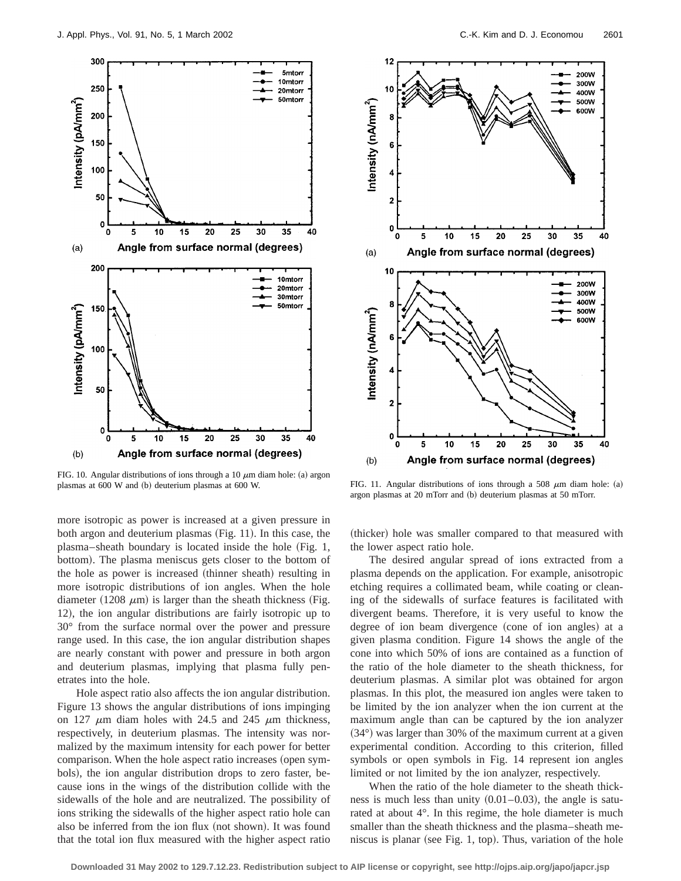

FIG. 10. Angular distributions of ions through a 10  $\mu$ m diam hole: (a) argon plasmas at 600 W and (b) deuterium plasmas at 600 W. FIG. 11. Angular distributions of ions through a 508  $\mu$ m diam hole: (a)

more isotropic as power is increased at a given pressure in both argon and deuterium plasmas  $(Fig. 11)$ . In this case, the plasma–sheath boundary is located inside the hole  $(Fig. 1,$ bottom). The plasma meniscus gets closer to the bottom of the hole as power is increased (thinner sheath) resulting in more isotropic distributions of ion angles. When the hole diameter (1208  $\mu$ m) is larger than the sheath thickness (Fig. 12), the ion angular distributions are fairly isotropic up to 30° from the surface normal over the power and pressure range used. In this case, the ion angular distribution shapes are nearly constant with power and pressure in both argon and deuterium plasmas, implying that plasma fully penetrates into the hole.

Hole aspect ratio also affects the ion angular distribution. Figure 13 shows the angular distributions of ions impinging on 127  $\mu$ m diam holes with 24.5 and 245  $\mu$ m thickness, respectively, in deuterium plasmas. The intensity was normalized by the maximum intensity for each power for better comparison. When the hole aspect ratio increases (open symbols), the ion angular distribution drops to zero faster, because ions in the wings of the distribution collide with the sidewalls of the hole and are neutralized. The possibility of ions striking the sidewalls of the higher aspect ratio hole can also be inferred from the ion flux (not shown). It was found that the total ion flux measured with the higher aspect ratio



argon plasmas at 20 mTorr and (b) deuterium plasmas at 50 mTorr.

(thicker) hole was smaller compared to that measured with the lower aspect ratio hole.

The desired angular spread of ions extracted from a plasma depends on the application. For example, anisotropic etching requires a collimated beam, while coating or cleaning of the sidewalls of surface features is facilitated with divergent beams. Therefore, it is very useful to know the degree of ion beam divergence (cone of ion angles) at a given plasma condition. Figure 14 shows the angle of the cone into which 50% of ions are contained as a function of the ratio of the hole diameter to the sheath thickness, for deuterium plasmas. A similar plot was obtained for argon plasmas. In this plot, the measured ion angles were taken to be limited by the ion analyzer when the ion current at the maximum angle than can be captured by the ion analyzer  $(34°)$  was larger than 30% of the maximum current at a given experimental condition. According to this criterion, filled symbols or open symbols in Fig. 14 represent ion angles limited or not limited by the ion analyzer, respectively.

When the ratio of the hole diameter to the sheath thickness is much less than unity  $(0.01-0.03)$ , the angle is saturated at about 4°. In this regime, the hole diameter is much smaller than the sheath thickness and the plasma–sheath meniscus is planar (see Fig. 1, top). Thus, variation of the hole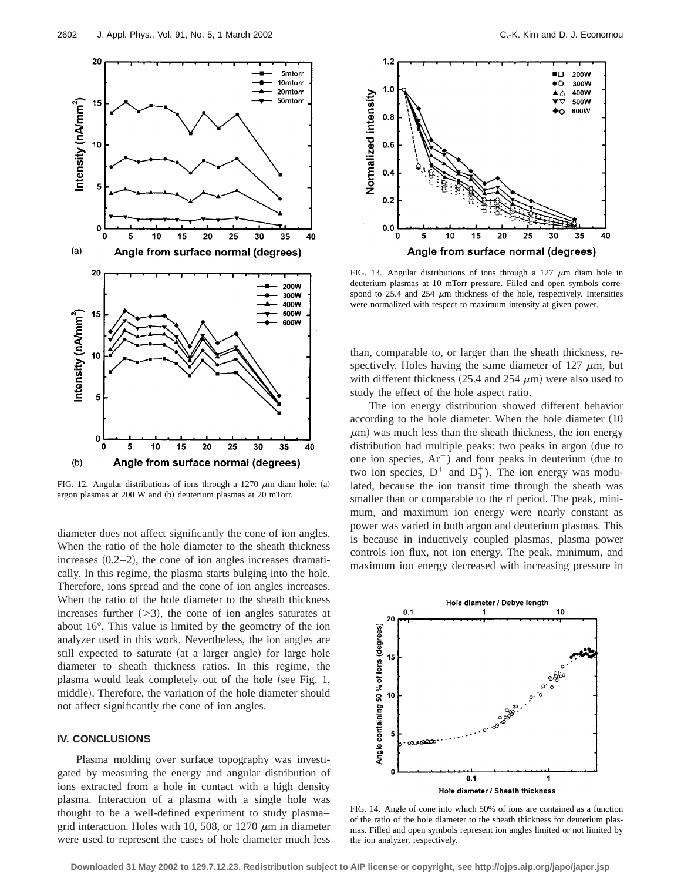

FIG. 12. Angular distributions of ions through a 1270  $\mu$ m diam hole: (a) argon plasmas at 200 W and (b) deuterium plasmas at 20 mTorr.

diameter does not affect significantly the cone of ion angles. When the ratio of the hole diameter to the sheath thickness increases  $(0.2-2)$ , the cone of ion angles increases dramatically. In this regime, the plasma starts bulging into the hole. Therefore, ions spread and the cone of ion angles increases. When the ratio of the hole diameter to the sheath thickness increases further  $(>=3)$ , the cone of ion angles saturates at about 16°. This value is limited by the geometry of the ion analyzer used in this work. Nevertheless, the ion angles are still expected to saturate (at a larger angle) for large hole diameter to sheath thickness ratios. In this regime, the plasma would leak completely out of the hole (see Fig. 1, middle). Therefore, the variation of the hole diameter should not affect significantly the cone of ion angles.

## **IV. CONCLUSIONS**

Plasma molding over surface topography was investigated by measuring the energy and angular distribution of ions extracted from a hole in contact with a high density plasma. Interaction of a plasma with a single hole was thought to be a well-defined experiment to study plasma– grid interaction. Holes with 10, 508, or 1270  $\mu$ m in diameter were used to represent the cases of hole diameter much less



FIG. 13. Angular distributions of ions through a 127  $\mu$ m diam hole in deuterium plasmas at 10 mTorr pressure. Filled and open symbols correspond to 25.4 and 254  $\mu$ m thickness of the hole, respectively. Intensities were normalized with respect to maximum intensity at given power.

than, comparable to, or larger than the sheath thickness, respectively. Holes having the same diameter of  $127 \mu m$ , but with different thickness  $(25.4 \text{ and } 254 \text{ }\mu\text{m})$  were also used to study the effect of the hole aspect ratio.

The ion energy distribution showed different behavior according to the hole diameter. When the hole diameter  $(10$  $\mu$ m) was much less than the sheath thickness, the ion energy distribution had multiple peaks: two peaks in argon (due to one ion species,  $Ar^{+}$ ) and four peaks in deuterium (due to two ion species,  $D^+$  and  $D_3^+$ ). The ion energy was modulated, because the ion transit time through the sheath was smaller than or comparable to the rf period. The peak, minimum, and maximum ion energy were nearly constant as power was varied in both argon and deuterium plasmas. This is because in inductively coupled plasmas, plasma power controls ion flux, not ion energy. The peak, minimum, and maximum ion energy decreased with increasing pressure in



FIG. 14. Angle of cone into which 50% of ions are contained as a function of the ratio of the hole diameter to the sheath thickness for deuterium plasmas. Filled and open symbols represent ion angles limited or not limited by the ion analyzer, respectively.

**Downloaded 31 May 2002 to 129.7.12.23. Redistribution subject to AIP license or copyright, see http://ojps.aip.org/japo/japcr.jsp**